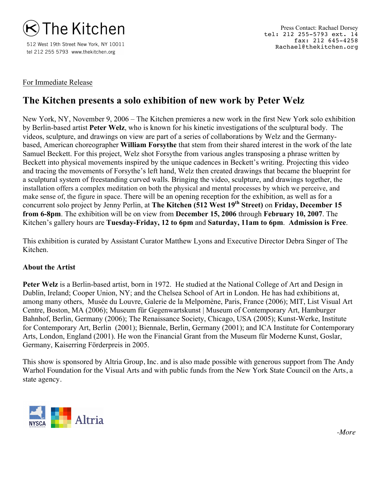

512 West 19th Street New York, NY 10011 tel 212 255 5793 www.thekitchen.org

## For Immediate Release

## **The Kitchen presents a solo exhibition of new work by Peter Welz**

New York, NY, November 9, 2006 – The Kitchen premieres a new work in the first New York solo exhibition by Berlin-based artist **Peter Welz**, who is known for his kinetic investigations of the sculptural body. The videos, sculpture, and drawings on view are part of a series of collaborations by Welz and the Germanybased, American choreographer **William Forsythe** that stem from their shared interest in the work of the late Samuel Beckett. For this project, Welz shot Forsythe from various angles transposing a phrase written by Beckett into physical movements inspired by the unique cadences in Beckett's writing. Projecting this video and tracing the movements of Forsythe's left hand, Welz then created drawings that became the blueprint for a sculptural system of freestanding curved walls. Bringing the video, sculpture, and drawings together, the installation offers a complex meditation on both the physical and mental processes by which we perceive, and make sense of, the figure in space. There will be an opening reception for the exhibition, as well as for a concurrent solo project by Jenny Perlin, at **The Kitchen (512 West 19th Street)** on **Friday, December 15 from 6-8pm**. The exhibition will be on view from **December 15, 2006** through **February 10, 2007**. The Kitchen's gallery hours are **Tuesday-Friday, 12 to 6pm** and **Saturday, 11am to 6pm**. **Admission is Free**.

This exhibition is curated by Assistant Curator Matthew Lyons and Executive Director Debra Singer of The Kitchen.

## **About the Artist**

**Peter Welz** is a Berlin-based artist, born in 1972. He studied at the National College of Art and Design in Dublin, Ireland; Cooper Union, NY; and the Chelsea School of Art in London. He has had exhibitions at, among many others, Musée du Louvre, Galerie de la Melpomène, Paris, France (2006); MIT, List Visual Art Centre, Boston, MA (2006); Museum für Gegenwartskunst | Museum of Contemporary Art, Hamburger Bahnhof, Berlin, Germany (2006); The Renaissance Society, Chicago, USA (2005); Kunst-Werke, Institute for Contemporary Art, Berlin (2001); Biennale, Berlin, Germany (2001); and ICA Institute for Contemporary Arts, London, England (2001). He won the Financial Grant from the Museum für Moderne Kunst, Goslar, Germany, Kaiserring Förderpreis in 2005.

This show is sponsored by Altria Group, Inc. and is also made possible with generous support from The Andy Warhol Foundation for the Visual Arts and with public funds from the New York State Council on the Arts, a state agency.



*-More*